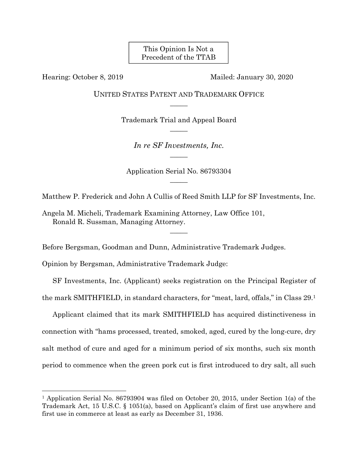This Opinion Is Not a Precedent of the TTAB

 $\overline{a}$ 

Hearing: October 8, 2019 Mailed: January 30, 2020

UNITED STATES PATENT AND TRADEMARK OFFICE  $\overline{\phantom{a}}$ 

> Trademark Trial and Appeal Board  $\overline{\phantom{a}}$

> > *In re SF Investments, Inc.*   $\overline{\phantom{a}}$

Application Serial No. 86793304  $\overline{\phantom{a}}$ 

Matthew P. Frederick and John A Cullis of Reed Smith LLP for SF Investments, Inc.

 $\overline{\phantom{a}}$ 

Angela M. Micheli, Trademark Examining Attorney, Law Office 101, Ronald R. Sussman, Managing Attorney.

Before Bergsman, Goodman and Dunn, Administrative Trademark Judges.

Opinion by Bergsman, Administrative Trademark Judge:

SF Investments, Inc. (Applicant) seeks registration on the Principal Register of the mark SMITHFIELD, in standard characters, for "meat, lard, offals," in Class 29.1

Applicant claimed that its mark SMITHFIELD has acquired distinctiveness in connection with "hams processed, treated, smoked, aged, cured by the long-cure, dry salt method of cure and aged for a minimum period of six months, such six month period to commence when the green pork cut is first introduced to dry salt, all such

<sup>1</sup> Application Serial No. 86793904 was filed on October 20, 2015, under Section 1(a) of the Trademark Act, 15 U.S.C. § 1051(a), based on Applicant's claim of first use anywhere and first use in commerce at least as early as December 31, 1936.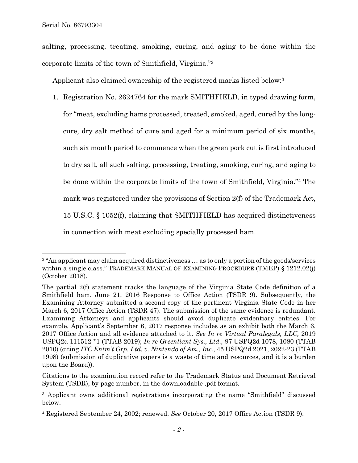salting, processing, treating, smoking, curing, and aging to be done within the corporate limits of the town of Smithfield, Virginia."2

Applicant also claimed ownership of the registered marks listed below:3

1. Registration No. 2624764 for the mark SMITHFIELD, in typed drawing form, for "meat, excluding hams processed, treated, smoked, aged, cured by the longcure, dry salt method of cure and aged for a minimum period of six months, such six month period to commence when the green pork cut is first introduced to dry salt, all such salting, processing, treating, smoking, curing, and aging to be done within the corporate limits of the town of Smithfield, Virginia."4 The mark was registered under the provisions of Section 2(f) of the Trademark Act, 15 U.S.C. § 1052(f), claiming that SMITHFIELD has acquired distinctiveness in connection with meat excluding specially processed ham.

<sup>&</sup>lt;sup>2</sup> "An applicant may claim acquired distinctiveness ... as to only a portion of the goods/services within a single class." TRADEMARK MANUAL OF EXAMINING PROCEDURE (TMEP) § 1212.02(j) (October 2018).

The partial 2(f) statement tracks the language of the Virginia State Code definition of a Smithfield ham. June 21, 2016 Response to Office Action (TSDR 9). Subsequently, the Examining Attorney submitted a second copy of the pertinent Virginia State Code in her March 6, 2017 Office Action (TSDR 47). The submission of the same evidence is redundant. Examining Attorneys and applicants should avoid duplicate evidentiary entries. For example, Applicant's September 6, 2017 response includes as an exhibit both the March 6, 2017 Office Action and all evidence attached to it. *See In re Virtual Paralegals, LLC,* 2019 USPQ2d 111512 \*1 (TTAB 2019); *In re Greenliant Sys., Ltd.,* 97 USPQ2d 1078, 1080 (TTAB 2010) (citing *ITC Entm't Grp. Ltd. v. Nintendo of Am., Inc.*, 45 USPQ2d 2021, 2022-23 (TTAB 1998) (submission of duplicative papers is a waste of time and resources, and it is a burden upon the Board)).

Citations to the examination record refer to the Trademark Status and Document Retrieval System (TSDR), by page number, in the downloadable .pdf format.

<sup>&</sup>lt;sup>3</sup> Applicant owns additional registrations incorporating the name "Smithfield" discussed below.

<sup>4</sup> Registered September 24, 2002; renewed. *See* October 20, 2017 Office Action (TSDR 9).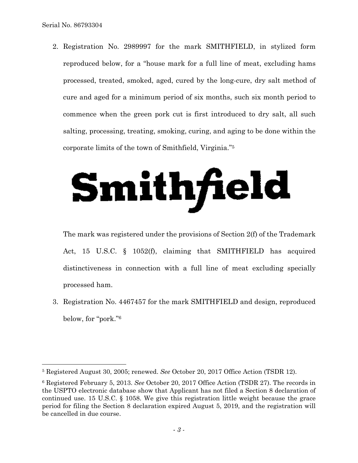2. Registration No. 2989997 for the mark SMITHFIELD, in stylized form reproduced below, for a "house mark for a full line of meat, excluding hams processed, treated, smoked, aged, cured by the long-cure, dry salt method of cure and aged for a minimum period of six months, such six month period to commence when the green pork cut is first introduced to dry salt, all such salting, processing, treating, smoking, curing, and aging to be done within the corporate limits of the town of Smithfield, Virginia."5

## Smithfield

The mark was registered under the provisions of Section 2(f) of the Trademark Act, 15 U.S.C. § 1052(f), claiming that SMITHFIELD has acquired distinctiveness in connection with a full line of meat excluding specially processed ham.

3. Registration No. 4467457 for the mark SMITHFIELD and design, reproduced below, for "pork."6

<sup>5</sup> Registered August 30, 2005; renewed. *See* October 20, 2017 Office Action (TSDR 12).

<sup>6</sup> Registered February 5, 2013. *See* October 20, 2017 Office Action (TSDR 27). The records in the USPTO electronic database show that Applicant has not filed a Section 8 declaration of continued use. 15 U.S.C. § 1058. We give this registration little weight because the grace period for filing the Section 8 declaration expired August 5, 2019, and the registration will be cancelled in due course.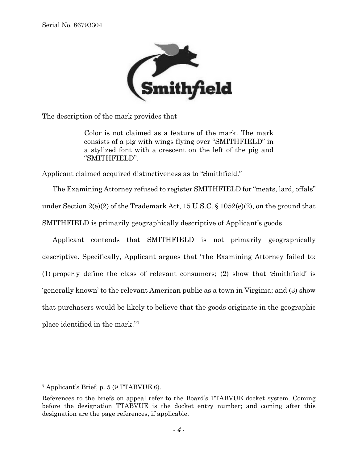

The description of the mark provides that

Color is not claimed as a feature of the mark. The mark consists of a pig with wings flying over "SMITHFIELD" in a stylized font with a crescent on the left of the pig and "SMITHFIELD".

Applicant claimed acquired distinctiveness as to "Smithfield."

The Examining Attorney refused to register SMITHFIELD for "meats, lard, offals" under Section  $2(e)(2)$  of the Trademark Act, 15 U.S.C. § 1052(e)(2), on the ground that SMITHFIELD is primarily geographically descriptive of Applicant's goods.

Applicant contends that SMITHFIELD is not primarily geographically descriptive. Specifically, Applicant argues that "the Examining Attorney failed to: (1) properly define the class of relevant consumers; (2) show that 'Smithfield' is 'generally known' to the relevant American public as a town in Virginia; and (3) show that purchasers would be likely to believe that the goods originate in the geographic place identified in the mark."7

1

<sup>7</sup> Applicant's Brief, p. 5 (9 TTABVUE 6).

References to the briefs on appeal refer to the Board's TTABVUE docket system. Coming before the designation TTABVUE is the docket entry number; and coming after this designation are the page references, if applicable.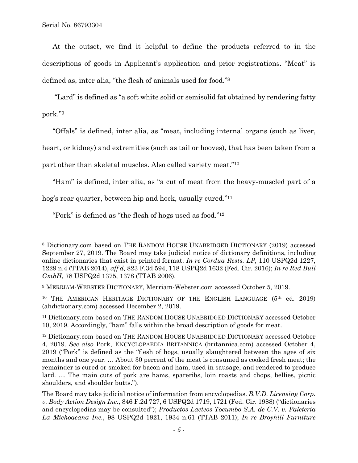At the outset, we find it helpful to define the products referred to in the descriptions of goods in Applicant's application and prior registrations. "Meat" is defined as, inter alia, "the flesh of animals used for food."8

 "Lard" is defined as "a soft white solid or semisolid fat obtained by rendering fatty pork."9

"Offals" is defined, inter alia, as "meat, including internal organs (such as liver,

heart, or kidney) and extremities (such as tail or hooves), that has been taken from a

part other than skeletal muscles. Also called variety meat."10

"Ham" is defined, inter alia, as "a cut of meat from the heavy-muscled part of a

hog's rear quarter, between hip and hock, usually cured."11

"Pork" is defined as "the flesh of hogs used as food."12

<sup>8</sup> Dictionary.com based on THE RANDOM HOUSE UNABRIDGED DICTIONARY (2019) accessed September 27, 2019. The Board may take judicial notice of dictionary definitions, including online dictionaries that exist in printed format. *In re Cordua Rests. LP*, 110 USPQ2d 1227, 1229 n.4 (TTAB 2014), *aff'd,* 823 F.3d 594, 118 USPQ2d 1632 (Fed. Cir. 2016); *In re Red Bull GmbH*, 78 USPQ2d 1375, 1378 (TTAB 2006).

<sup>9</sup> MERRIAM-WEBSTER DICTIONARY, Merriam-Webster.com accessed October 5, 2019.

<sup>&</sup>lt;sup>10</sup> THE AMERICAN HERITAGE DICTIONARY OF THE ENGLISH LANGUAGE (5<sup>th</sup> ed. 2019) (ahdictionary.com) accessed December 2, 2019.

<sup>11</sup> Dictionary.com based on THE RANDOM HOUSE UNABRIDGED DICTIONARY accessed October 10, 2019. Accordingly, "ham" falls within the broad description of goods for meat.

<sup>12</sup> Dictionary.com based on THE RANDOM HOUSE UNABRIDGED DICTIONARY accessed October 4, 2019. *See also* Pork, ENCYCLOPAEDIA BRITANNICA (britannica.com) accessed October 4, 2019 ("Pork" is defined as the "flesh of hogs, usually slaughtered between the ages of six months and one year. … About 30 percent of the meat is consumed as cooked fresh meat; the remainder is cured or smoked for bacon and ham, used in sausage, and rendered to produce lard. … The main cuts of pork are hams, spareribs, loin roasts and chops, bellies, picnic shoulders, and shoulder butts.").

The Board may take judicial notice of information from encyclopedias. *B.V.D. Licensing Corp. v. Body Action Design Inc.*, 846 F.2d 727, 6 USPQ2d 1719, 1721 (Fed. Cir. 1988) ("dictionaries and encyclopedias may be consulted"); *Productos Lacteos Tocumbo S.A. de C.V. v. Paleteria La Michoacana Inc.*, 98 USPQ2d 1921, 1934 n.61 (TTAB 2011); *In re Broyhill Furniture*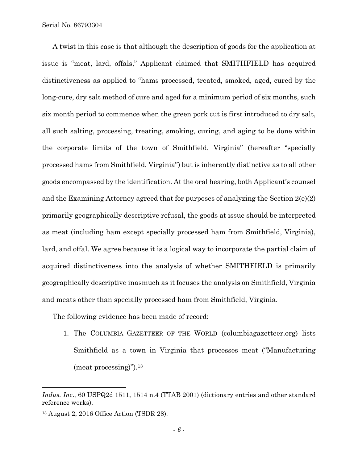A twist in this case is that although the description of goods for the application at issue is "meat, lard, offals," Applicant claimed that SMITHFIELD has acquired distinctiveness as applied to "hams processed, treated, smoked, aged, cured by the long-cure, dry salt method of cure and aged for a minimum period of six months, such six month period to commence when the green pork cut is first introduced to dry salt, all such salting, processing, treating, smoking, curing, and aging to be done within the corporate limits of the town of Smithfield, Virginia" (hereafter "specially processed hams from Smithfield, Virginia") but is inherently distinctive as to all other goods encompassed by the identification. At the oral hearing, both Applicant's counsel and the Examining Attorney agreed that for purposes of analyzing the Section 2(e)(2) primarily geographically descriptive refusal, the goods at issue should be interpreted as meat (including ham except specially processed ham from Smithfield, Virginia), lard, and offal. We agree because it is a logical way to incorporate the partial claim of acquired distinctiveness into the analysis of whether SMITHFIELD is primarily geographically descriptive inasmuch as it focuses the analysis on Smithfield, Virginia and meats other than specially processed ham from Smithfield, Virginia.

The following evidence has been made of record:

1. The COLUMBIA GAZETTEER OF THE WORLD (columbiagazetteer.org) lists Smithfield as a town in Virginia that processes meat ("Manufacturing (meat processing)").13

l

*Indus. Inc*., 60 USPQ2d 1511, 1514 n.4 (TTAB 2001) (dictionary entries and other standard reference works).

<sup>13</sup> August 2, 2016 Office Action (TSDR 28).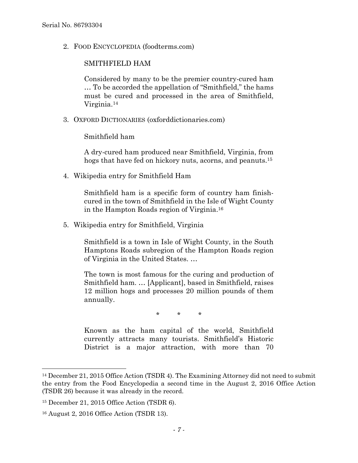2. FOOD ENCYCLOPEDIA (foodterms.com)

## SMITHFIELD HAM

Considered by many to be the premier country-cured ham … To be accorded the appellation of "Smithfield," the hams must be cured and processed in the area of Smithfield, Virginia.14

3. OXFORD DICTIONARIES (oxforddictionaries.com)

Smithfield ham

A dry-cured ham produced near Smithfield, Virginia, from hogs that have fed on hickory nuts, acorns, and peanuts.15

4. Wikipedia entry for Smithfield Ham

Smithfield ham is a specific form of country ham finishcured in the town of Smithfield in the Isle of Wight County in the Hampton Roads region of Virginia.16

5. Wikipedia entry for Smithfield, Virginia

Smithfield is a town in Isle of Wight County, in the South Hamptons Roads subregion of the Hampton Roads region of Virginia in the United States. …

The town is most famous for the curing and production of Smithfield ham. … [Applicant], based in Smithfield, raises 12 million hogs and processes 20 million pounds of them annually.

\* \* \*

Known as the ham capital of the world, Smithfield currently attracts many tourists. Smithfield's Historic District is a major attraction, with more than 70

<sup>14</sup> December 21, 2015 Office Action (TSDR 4). The Examining Attorney did not need to submit the entry from the Food Encyclopedia a second time in the August 2, 2016 Office Action (TSDR 26) because it was already in the record.

<sup>15</sup> December 21, 2015 Office Action (TSDR 6).

<sup>16</sup> August 2, 2016 Office Action (TSDR 13).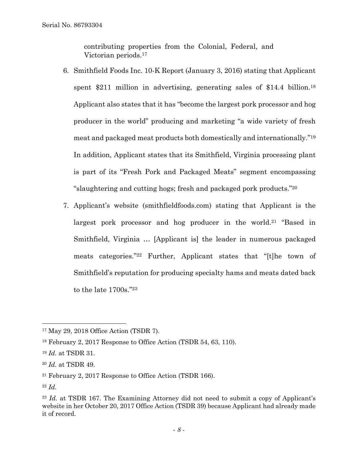contributing properties from the Colonial, Federal, and Victorian periods.17

- 6. Smithfield Foods Inc. 10-K Report (January 3, 2016) stating that Applicant spent \$211 million in advertising, generating sales of \$14.4 billion.<sup>18</sup> Applicant also states that it has "become the largest pork processor and hog producer in the world" producing and marketing "a wide variety of fresh meat and packaged meat products both domestically and internationally."19 In addition, Applicant states that its Smithfield, Virginia processing plant is part of its "Fresh Pork and Packaged Meats" segment encompassing "slaughtering and cutting hogs; fresh and packaged pork products."20
- 7. Applicant's website (smithfieldfoods.com) stating that Applicant is the largest pork processor and hog producer in the world.21 "Based in Smithfield, Virginia … [Applicant is] the leader in numerous packaged meats categories."22 Further, Applicant states that "[t]he town of Smithfield's reputation for producing specialty hams and meats dated back to the late 1700s."23

<sup>17</sup> May 29, 2018 Office Action (TSDR 7).

<sup>18</sup> February 2, 2017 Response to Office Action (TSDR 54, 63, 110).

<sup>19</sup> *Id.* at TSDR 31.

<sup>20</sup> *Id.* at TSDR 49.

<sup>21</sup> February 2, 2017 Response to Office Action (TSDR 166).

<sup>22</sup> *Id.*

<sup>&</sup>lt;sup>23</sup> *Id.* at TSDR 167. The Examining Attorney did not need to submit a copy of Applicant's website in her October 20, 2017 Office Action (TSDR 39) because Applicant had already made it of record.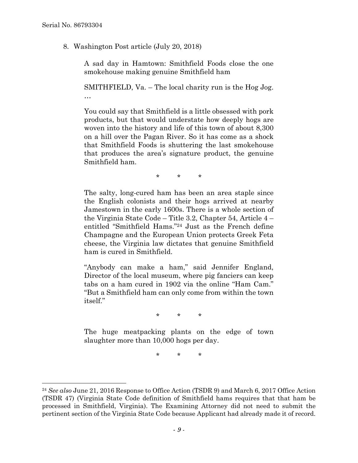8. Washington Post article (July 20, 2018)

A sad day in Hamtown: Smithfield Foods close the one smokehouse making genuine Smithfield ham

SMITHFIELD, Va. – The local charity run is the Hog Jog. …

You could say that Smithfield is a little obsessed with pork products, but that would understate how deeply hogs are woven into the history and life of this town of about 8,300 on a hill over the Pagan River. So it has come as a shock that Smithfield Foods is shuttering the last smokehouse that produces the area's signature product, the genuine Smithfield ham.

\* \* \*

The salty, long-cured ham has been an area staple since the English colonists and their hogs arrived at nearby Jamestown in the early 1600s. There is a whole section of the Virginia State Code – Title 3.2, Chapter 54, Article 4 – entitled "Smithfield Hams."24 Just as the French define Champagne and the European Union protects Greek Feta cheese, the Virginia law dictates that genuine Smithfield ham is cured in Smithfield.

"Anybody can make a ham," said Jennifer England, Director of the local museum, where pig fanciers can keep tabs on a ham cured in 1902 via the online "Ham Cam." "But a Smithfield ham can only come from within the town itself."

\* \* \*

The huge meatpacking plants on the edge of town slaughter more than 10,000 hogs per day.

\* \* \*

<sup>24</sup> *See also* June 21, 2016 Response to Office Action (TSDR 9) and March 6, 2017 Office Action (TSDR 47) (Virginia State Code definition of Smithfield hams requires that that ham be processed in Smithfield, Virginia). The Examining Attorney did not need to submit the pertinent section of the Virginia State Code because Applicant had already made it of record.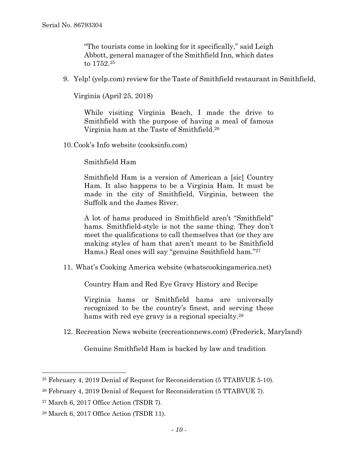"The tourists come in looking for it specifically," said Leigh Abbott, general manager of the Smithfield Inn, which dates to 1752.25

9. Yelp! (yelp.com) review for the Taste of Smithfield restaurant in Smithfield,

Virginia (April 25, 2018)

While visiting Virginia Beach, I made the drive to Smithfield with the purpose of having a meal of famous Virginia ham at the Taste of Smithfield.26

10.Cook's Info website (cooksinfo.com)

Smithfield Ham

Smithfield Ham is a version of American a [sic] Country Ham. It also happens to be a Virginia Ham. It must be made in the city of Smithfield, Virginia, between the Suffolk and the James River.

A lot of hams produced in Smithfield aren't "Smithfield" hams. Smithfield-style is not the same thing. They don't meet the qualifications to call themselves that (or they are making styles of ham that aren't meant to be Smithfield Hams.) Real ones will say "genuine Smithfield ham."27

11. What's Cooking America website (whatscookingamerica.net)

Country Ham and Red Eye Gravy History and Recipe

Virginia hams or Smithfield hams are universally recognized to be the country's finest, and serving these hams with red eye gravy is a regional specialty.<sup>28</sup>

12. Recreation News website (recreationnews.com) (Frederick, Maryland)

Genuine Smithfield Ham is backed by law and tradition

<sup>25</sup> February 4, 2019 Denial of Request for Reconsideration (5 TTABVUE 5-10).

<sup>26</sup> February 4, 2019 Denial of Request for Reconsideration (5 TTABVUE 7).

<sup>27</sup> March 6, 2017 Office Action (TSDR 7).

<sup>28</sup> March 6, 2017 Office Action (TSDR 11).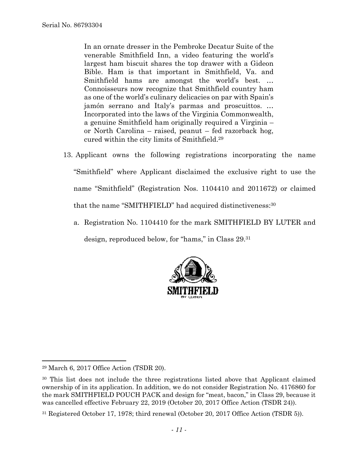In an ornate dresser in the Pembroke Decatur Suite of the venerable Smithfield Inn, a video featuring the world's largest ham biscuit shares the top drawer with a Gideon Bible. Ham is that important in Smithfield, Va. and Smithfield hams are amongst the world's best. … Connoisseurs now recognize that Smithfield country ham as one of the world's culinary delicacies on par with Spain's jamón serrano and Italy's parmas and proscuittos. … Incorporated into the laws of the Virginia Commonwealth, a genuine Smithfield ham originally required a Virginia – or North Carolina – raised, peanut – fed razorback hog, cured within the city limits of Smithfield.29

- 13. Applicant owns the following registrations incorporating the name "Smithfield" where Applicant disclaimed the exclusive right to use the name "Smithfield" (Registration Nos. 1104410 and 2011672) or claimed that the name "SMITHFIELD" had acquired distinctiveness:30
	- a. Registration No. 1104410 for the mark SMITHFIELD BY LUTER and design, reproduced below, for "hams," in Class 29.31



1

<sup>29</sup> March 6, 2017 Office Action (TSDR 20).

<sup>&</sup>lt;sup>30</sup> This list does not include the three registrations listed above that Applicant claimed ownership of in its application. In addition, we do not consider Registration No. 4176860 for the mark SMITHFIELD POUCH PACK and design for "meat, bacon," in Class 29, because it was cancelled effective February 22, 2019 (October 20, 2017 Office Action (TSDR 24)).

<sup>31</sup> Registered October 17, 1978; third renewal (October 20, 2017 Office Action (TSDR 5)).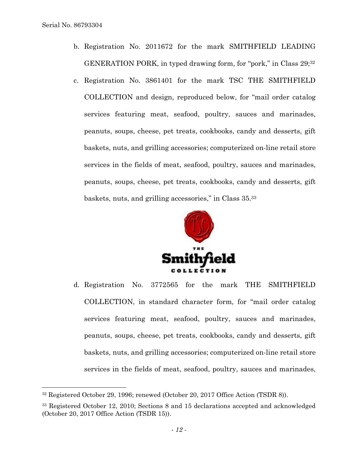l

- b. Registration No. 2011672 for the mark SMITHFIELD LEADING GENERATION PORK, in typed drawing form, for "pork," in Class 29;32
- c. Registration No. 3861401 for the mark TSC THE SMITHFIELD COLLECTION and design, reproduced below, for "mail order catalog services featuring meat, seafood, poultry, sauces and marinades, peanuts, soups, cheese, pet treats, cookbooks, candy and desserts, gift baskets, nuts, and grilling accessories; computerized on-line retail store services in the fields of meat, seafood, poultry, sauces and marinades, peanuts, soups, cheese, pet treats, cookbooks, candy and desserts, gift baskets, nuts, and grilling accessories," in Class 35.33



d. Registration No. 3772565 for the mark THE SMITHFIELD COLLECTION, in standard character form, for "mail order catalog services featuring meat, seafood, poultry, sauces and marinades, peanuts, soups, cheese, pet treats, cookbooks, candy and desserts, gift baskets, nuts, and grilling accessories; computerized on-line retail store services in the fields of meat, seafood, poultry, sauces and marinades,

<sup>32</sup> Registered October 29, 1996; renewed (October 20, 2017 Office Action (TSDR 8)).

<sup>33</sup> Registered October 12, 2010; Sections 8 and 15 declarations accepted and acknowledged (October 20, 2017 Office Action (TSDR 15)).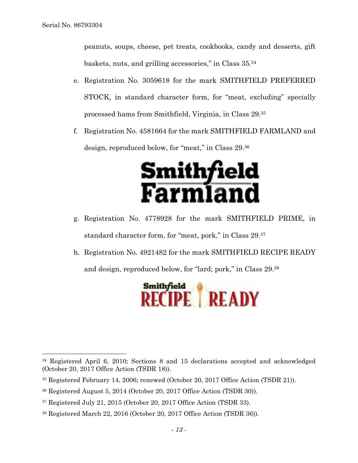peanuts, soups, cheese, pet treats, cookbooks, candy and desserts, gift baskets, nuts, and grilling accessories," in Class 35.34

- e. Registration No. 3059618 for the mark SMITHFIELD PREFERRED STOCK, in standard character form, for "meat, excluding" specially processed hams from Smithfield, Virginia, in Class 29.35
- f. Registration No. 4581664 for the mark SMITHFIELD FARMLAND and design, reproduced below, for "meat," in Class 29.36



- g. Registration No. 4778928 for the mark SMITHFIELD PRIME, in standard character form, for "meat, pork," in Class 29.37
- h. Registration No. 4921482 for the mark SMITHFIELD RECIPE READY and design, reproduced below, for "lard; pork," in Class 29.38

Smithfield<br>RECIPE | READY

<sup>34</sup> Registered April 6, 2010; Sections 8 and 15 declarations accepted and acknowledged (October 20, 2017 Office Action (TSDR 18)).

<sup>35</sup> Registered February 14, 2006; renewed (October 20, 2017 Office Action (TSDR 21)).

<sup>36</sup> Registered August 5, 2014 (October 20, 2017 Office Action (TSDR 30)).

<sup>37</sup> Registered July 21, 2015 (October 20, 2017 Office Action (TSDR 33).

<sup>38</sup> Registered March 22, 2016 (October 20, 2017 Office Action (TSDR 36)).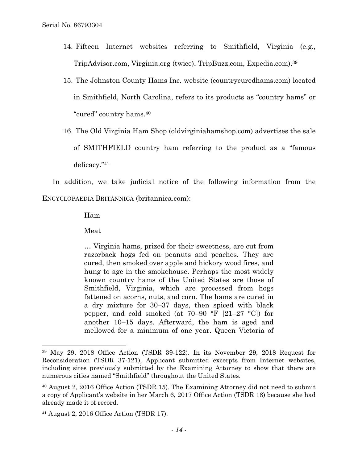- 14. Fifteen Internet websites referring to Smithfield, Virginia (e.g., TripAdvisor.com, Virginia.org (twice), TripBuzz.com, Expedia.com).39
- 15. The Johnston County Hams Inc. website (countrycuredhams.com) located in Smithfield, North Carolina, refers to its products as "country hams" or "cured" country hams.40
- 16. The Old Virginia Ham Shop (oldvirginiahamshop.com) advertises the sale of SMITHFIELD country ham referring to the product as a "famous delicacy."41

In addition, we take judicial notice of the following information from the ENCYCLOPAEDIA BRITANNICA (britannica.com):

Ham

Meat

 $\overline{a}$ 

… Virginia hams, prized for their sweetness, are cut from razorback hogs fed on peanuts and peaches. They are cured, then smoked over apple and hickory wood fires, and hung to age in the smokehouse. Perhaps the most widely known country hams of the United States are those of Smithfield, Virginia, which are processed from hogs fattened on acorns, nuts, and corn. The hams are cured in a dry mixture for 30–37 days, then spiced with black pepper, and cold smoked (at 70–90 °F [21–27 °C]) for another 10–15 days. Afterward, the ham is aged and mellowed for a minimum of one year. Queen Victoria of

<sup>39</sup> May 29, 2018 Office Action (TSDR 39-122). In its November 29, 2018 Request for Reconsideration (TSDR 37-121), Applicant submitted excerpts from Internet websites, including sites previously submitted by the Examining Attorney to show that there are numerous cities named "Smithfield" throughout the United States.

<sup>40</sup> August 2, 2016 Office Action (TSDR 15). The Examining Attorney did not need to submit a copy of Applicant's website in her March 6, 2017 Office Action (TSDR 18) because she had already made it of record.

<sup>41</sup> August 2, 2016 Office Action (TSDR 17).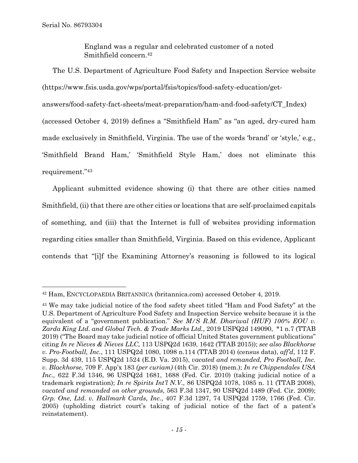England was a regular and celebrated customer of a noted Smithfield concern.42

The U.S. Department of Agriculture Food Safety and Inspection Service website (https://www.fsis.usda.gov/wps/portal/fsis/topics/food-safety-education/getanswers/food-safety-fact-sheets/meat-preparation/ham-and-food-safety/CT\_Index) (accessed October 4, 2019) defines a "Smithfield Ham" as "an aged, dry-cured ham made exclusively in Smithfield, Virginia. The use of the words 'brand' or 'style,' e.g., 'Smithfield Brand Ham,' 'Smithfield Style Ham,' does not eliminate this requirement."43

Applicant submitted evidence showing (i) that there are other cities named Smithfield, (ii) that there are other cities or locations that are self-proclaimed capitals of something, and (iii) that the Internet is full of websites providing information regarding cities smaller than Smithfield, Virginia. Based on this evidence, Applicant contends that "[i]f the Examining Attorney's reasoning is followed to its logical

<sup>42</sup> Ham, ENCYCLOPAEDIA BRITANNICA (britannica.com) accessed October 4, 2019.

<sup>43</sup> We may take judicial notice of the food safety sheet titled "Ham and Food Safety" at the U.S. Department of Agriculture Food Safety and Inspection Service website because it is the equivalent of a "government publication." *See M/S R.M. Dhariwal (HUF) 100% EOU v. Zarda King Ltd. and Global Tech. & Trade Marks Ltd.,* 2019 USPQ2d 149090, \*1 n.7 (TTAB 2019) ("The Board may take judicial notice of official United States government publications" citing *In re Nieves & Nieves LLC,* 113 USPQ2d 1639, 1642 (TTAB 2015)); *see also Blackhorse v. Pro-Football, Inc.*, 111 USPQ2d 1080, 1098 n.114 (TTAB 2014) (census data), *aff'd*, 112 F. Supp. 3d 439, 115 USPQ2d 1524 (E.D. Va. 2015), *vacated and remanded, Pro Football, Inc. v. Blackhorse,* 709 F. App'x 183 *(per curiam)* (4th Cir. 2018) (mem.); *In re Chippendales USA Inc.,* 622 F.3d 1346, 96 USPQ2d 1681, 1688 (Fed. Cir. 2010) (taking judicial notice of a trademark registration); *In re Spirits Int'l N.V.,* 86 USPQ2d 1078, 1085 n. 11 (TTAB 2008), *vacated and remanded on other grounds*, 563 F.3d 1347, 90 USPQ2d 1489 (Fed. Cir. 2009); *Grp. One, Ltd. v. Hallmark Cards, Inc.*, 407 F.3d 1297, 74 USPQ2d 1759, 1766 (Fed. Cir. 2005) (upholding district court's taking of judicial notice of the fact of a patent's reinstatement).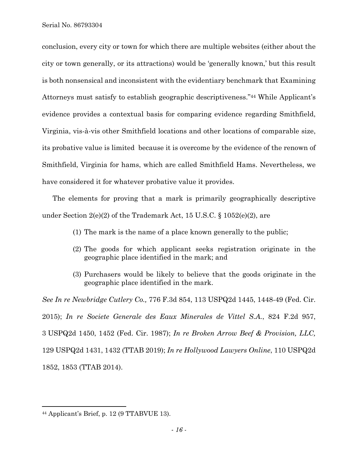conclusion, every city or town for which there are multiple websites (either about the city or town generally, or its attractions) would be 'generally known,' but this result is both nonsensical and inconsistent with the evidentiary benchmark that Examining Attorneys must satisfy to establish geographic descriptiveness."44 While Applicant's evidence provides a contextual basis for comparing evidence regarding Smithfield, Virginia, vis-à-vis other Smithfield locations and other locations of comparable size, its probative value is limited because it is overcome by the evidence of the renown of Smithfield, Virginia for hams, which are called Smithfield Hams. Nevertheless, we have considered it for whatever probative value it provides.

The elements for proving that a mark is primarily geographically descriptive under Section 2(e)(2) of the Trademark Act, 15 U.S.C. § 1052(e)(2), are

- (1) The mark is the name of a place known generally to the public;
- (2) The goods for which applicant seeks registration originate in the geographic place identified in the mark; and
- (3) Purchasers would be likely to believe that the goods originate in the geographic place identified in the mark.

*See In re Newbridge Cutlery Co.,* 776 F.3d 854, 113 USPQ2d 1445, 1448-49 (Fed. Cir. 2015); *In re Societe Generale des Eaux Minerales de Vittel S.A.*, 824 F.2d 957, 3 USPQ2d 1450, 1452 (Fed. Cir. 1987); *In re Broken Arrow Beef & Provision, LLC,*  129 USPQ2d 1431, 1432 (TTAB 2019); *In re Hollywood Lawyers Online*, 110 USPQ2d 1852, 1853 (TTAB 2014).

<sup>44</sup> Applicant's Brief, p. 12 (9 TTABVUE 13).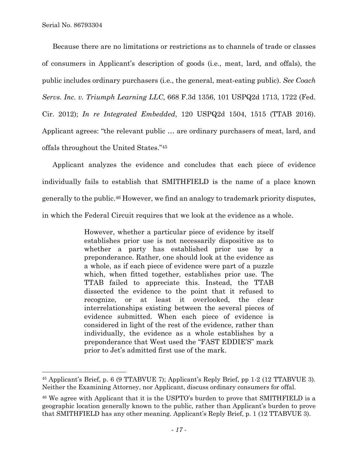$\overline{a}$ 

Because there are no limitations or restrictions as to channels of trade or classes of consumers in Applicant's description of goods (i.e., meat, lard, and offals), the public includes ordinary purchasers (i.e., the general, meat-eating public). *See Coach Servs. Inc. v. Triumph Learning LLC,* 668 F.3d 1356, 101 USPQ2d 1713, 1722 (Fed. Cir. 2012); *In re Integrated Embedded*, 120 USPQ2d 1504, 1515 (TTAB 2016). Applicant agrees: "the relevant public … are ordinary purchasers of meat, lard, and offals throughout the United States."45

Applicant analyzes the evidence and concludes that each piece of evidence individually fails to establish that SMITHFIELD is the name of a place known generally to the public.46 However, we find an analogy to trademark priority disputes, in which the Federal Circuit requires that we look at the evidence as a whole.

> However, whether a particular piece of evidence by itself establishes prior use is not necessarily dispositive as to whether a party has established prior use by a preponderance. Rather, one should look at the evidence as a whole, as if each piece of evidence were part of a puzzle which, when fitted together, establishes prior use. The TTAB failed to appreciate this. Instead, the TTAB dissected the evidence to the point that it refused to recognize, or at least it overlooked, the clear interrelationships existing between the several pieces of evidence submitted. When each piece of evidence is considered in light of the rest of the evidence, rather than individually, the evidence as a whole establishes by a preponderance that West used the "FAST EDDIE'S" mark prior to Jet's admitted first use of the mark.

<sup>45</sup> Applicant's Brief, p. 6 (9 TTABVUE 7); Applicant's Reply Brief, pp 1-2 (12 TTABVUE 3). Neither the Examining Attorney, nor Applicant, discuss ordinary consumers for offal.

<sup>46</sup> We agree with Applicant that it is the USPTO's burden to prove that SMITHFIELD is a geographic location generally known to the public, rather than Applicant's burden to prove that SMITHFIELD has any other meaning. Applicant's Reply Brief, p. 1 (12 TTABVUE 3).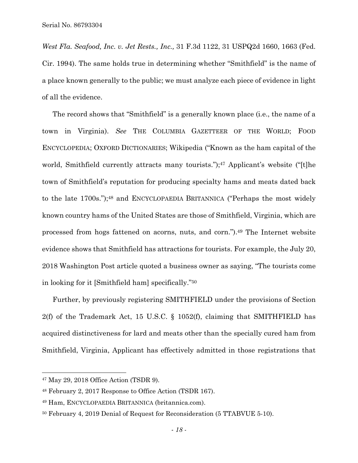*West Fla. Seafood, Inc. v. Jet Rests., Inc.,* 31 F.3d 1122, 31 USPQ2d 1660, 1663 (Fed. Cir. 1994). The same holds true in determining whether "Smithfield" is the name of a place known generally to the public; we must analyze each piece of evidence in light of all the evidence.

The record shows that "Smithfield" is a generally known place (i.e., the name of a town in Virginia). *See* THE COLUMBIA GAZETTEER OF THE WORLD; FOOD ENCYCLOPEDIA; OXFORD DICTIONARIES; Wikipedia ("Known as the ham capital of the world, Smithfield currently attracts many tourists.");<sup>47</sup> Applicant's website ("[t]he town of Smithfield's reputation for producing specialty hams and meats dated back to the late 1700s.");48 and ENCYCLOPAEDIA BRITANNICA ("Perhaps the most widely known country hams of the United States are those of Smithfield, Virginia, which are processed from hogs fattened on acorns, nuts, and corn.").49 The Internet website evidence shows that Smithfield has attractions for tourists. For example, the July 20, 2018 Washington Post article quoted a business owner as saying, "The tourists come in looking for it [Smithfield ham] specifically."50

Further, by previously registering SMITHFIELD under the provisions of Section 2(f) of the Trademark Act, 15 U.S.C. § 1052(f), claiming that SMITHFIELD has acquired distinctiveness for lard and meats other than the specially cured ham from Smithfield, Virginia, Applicant has effectively admitted in those registrations that

<sup>47</sup> May 29, 2018 Office Action (TSDR 9).

<sup>48</sup> February 2, 2017 Response to Office Action (TSDR 167).

<sup>49</sup> Ham, ENCYCLOPAEDIA BRITANNICA (britannica.com).

<sup>50</sup> February 4, 2019 Denial of Request for Reconsideration (5 TTABVUE 5-10).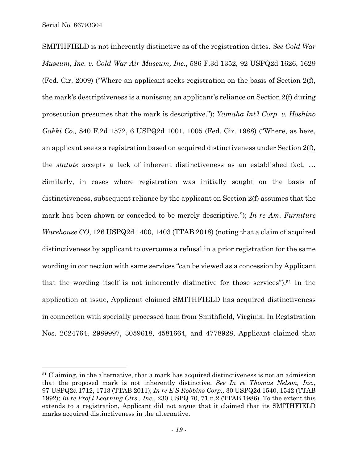1

SMITHFIELD is not inherently distinctive as of the registration dates. *See Cold War Museum, Inc. v. Cold War Air Museum, Inc.*, 586 F.3d 1352, 92 USPQ2d 1626, 1629 (Fed. Cir. 2009) ("Where an applicant seeks registration on the basis of Section 2(f), the mark's descriptiveness is a nonissue; an applicant's reliance on Section 2(f) during prosecution presumes that the mark is descriptive."); *Yamaha Int'l Corp. v. Hoshino Gakki Co.,* 840 F.2d 1572, 6 USPQ2d 1001, 1005 (Fed. Cir. 1988) ("Where, as here, an applicant seeks a registration based on acquired distinctiveness under Section 2(f), the *statute* accepts a lack of inherent distinctiveness as an established fact. … Similarly, in cases where registration was initially sought on the basis of distinctiveness, subsequent reliance by the applicant on Section 2(f) assumes that the mark has been shown or conceded to be merely descriptive."); *In re Am. Furniture Warehouse CO*, 126 USPQ2d 1400, 1403 (TTAB 2018) (noting that a claim of acquired distinctiveness by applicant to overcome a refusal in a prior registration for the same wording in connection with same services "can be viewed as a concession by Applicant that the wording itself is not inherently distinctive for those services").51 In the application at issue, Applicant claimed SMITHFIELD has acquired distinctiveness in connection with specially processed ham from Smithfield, Virginia. In Registration Nos. 2624764, 2989997, 3059618, 4581664, and 4778928, Applicant claimed that

<sup>&</sup>lt;sup>51</sup> Claiming, in the alternative, that a mark has acquired distinctiveness is not an admission that the proposed mark is not inherently distinctive. *See In re Thomas Nelson, Inc.*, 97 USPQ2d 1712, 1713 (TTAB 2011); *In re E S Robbins Corp.,* 30 USPQ2d 1540, 1542 (TTAB 1992); *In re Prof'l Learning Ctrs., Inc.*, 230 USPQ 70, 71 n.2 (TTAB 1986). To the extent this extends to a registration, Applicant did not argue that it claimed that its SMITHFIELD marks acquired distinctiveness in the alternative.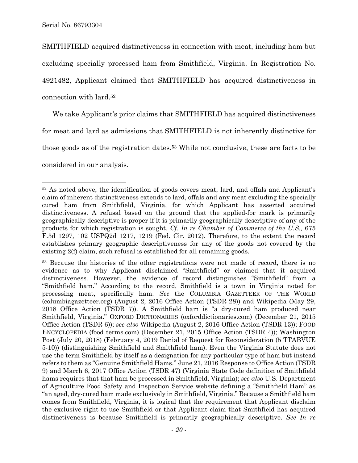l

SMITHFIELD acquired distinctiveness in connection with meat, including ham but excluding specially processed ham from Smithfield, Virginia. In Registration No. 4921482, Applicant claimed that SMITHFIELD has acquired distinctiveness in connection with lard.52

We take Applicant's prior claims that SMITHFIELD has acquired distinctiveness for meat and lard as admissions that SMITHFIELD is not inherently distinctive for those goods as of the registration dates.53 While not conclusive, these are facts to be considered in our analysis.

<sup>52</sup> As noted above, the identification of goods covers meat, lard, and offals and Applicant's claim of inherent distinctiveness extends to lard, offals and any meat excluding the specially cured ham from Smithfield, Virginia, for which Applicant has asserted acquired distinctiveness. A refusal based on the ground that the applied-for mark is primarily geographically descriptive is proper if it is primarily geographically descriptive of any of the products for which registration is sought. *Cf. In re Chamber of Commerce of the U.S.,* 675 F.3d 1297*,* 102 USPQ2d 1217, 1219 (Fed. Cir. 2012). Therefore, to the extent the record establishes primary geographic descriptiveness for any of the goods not covered by the existing 2(f) claim, such refusal is established for all remaining goods.

<sup>&</sup>lt;sup>53</sup> Because the histories of the other registrations were not made of record, there is no evidence as to why Applicant disclaimed "Smithfield" or claimed that it acquired distinctiveness. However, the evidence of record distinguishes "Smithfield" from a "Smithfield ham." According to the record, Smithfield is a town in Virginia noted for processing meat, specifically ham. *See* the COLUMBIA GAZETTEER OF THE WORLD (columbiagazetteer.org) (August 2, 2016 Office Action (TSDR 28)) and Wikipedia (May 29, 2018 Office Action (TSDR 7)). A Smithfield ham is "a dry-cured ham produced near Smithfield, Virginia." OXFORD DICTIONARIES (oxforddictionaries.com) (December 21, 2015 Office Action (TSDR 6)); *see also* Wikipedia (August 2, 2016 Office Action (TSDR 13)); FOOD ENCYCLOPEDIA (food terms.com) (December 21, 2015 Office Action (TSDR 4)); Washington Post (July 20, 2018) (February 4, 2019 Denial of Request for Reconsideration (5 TTABVUE 5-10)) (distinguishing Smithfield and Smithfield ham). Even the Virginia Statute does not use the term Smithfield by itself as a designation for any particular type of ham but instead refers to them as "Genuine Smithfield Hams." June 21, 2016 Response to Office Action (TSDR 9) and March 6, 2017 Office Action (TSDR 47) (Virginia State Code definition of Smithfield hams requires that that ham be processed in Smithfield, Virginia); *see also* U.S. Department of Agriculture Food Safety and Inspection Service website defining a "Smithfield Ham" as "an aged, dry-cured ham made exclusively in Smithfield, Virginia." Because a Smithfield ham comes from Smithfield, Virginia, it is logical that the requirement that Applicant disclaim the exclusive right to use Smithfield or that Applicant claim that Smithfield has acquired distinctiveness is because Smithfield is primarily geographically descriptive. *See In re*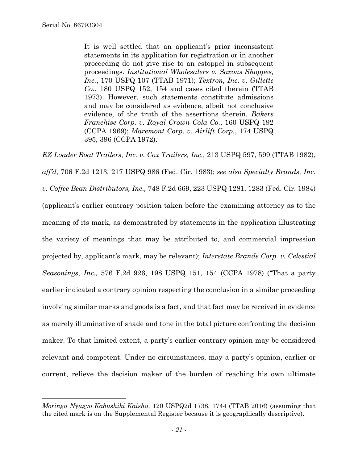It is well settled that an applicant's prior inconsistent statements in its application for registration or in another proceeding do not give rise to an estoppel in subsequent proceedings. *Institutional Wholesalers v. Saxons Shoppes, Inc.*, 170 USPQ 107 (TTAB 1971); *Textron, Inc. v. Gillette Co.*, 180 USPQ 152, 154 and cases cited therein (TTAB 1973). However, such statements constitute admissions and may be considered as evidence, albeit not conclusive evidence, of the truth of the assertions therein. *Bakers Franchise Corp. v. Royal Crown Cola Co.*, 160 USPQ 192 (CCPA 1969); *Maremont Corp. v. Airlift Corp.*, 174 USPQ 395, 396 (CCPA 1972).

*EZ Loader Boat Trailers, Inc. v. Cox Trailers, Inc.,* 213 USPQ 597, 599 (TTAB 1982), *aff'd,* 706 F.2d 1213, 217 USPQ 986 (Fed. Cir. 1983); *see also Specialty Brands, Inc. v. Coffee Bean Distributors, Inc.,* 748 F.2d 669, 223 USPQ 1281, 1283 (Fed. Cir. 1984) (applicant's earlier contrary position taken before the examining attorney as to the meaning of its mark, as demonstrated by statements in the application illustrating the variety of meanings that may be attributed to, and commercial impression projected by, applicant's mark, may be relevant); *Interstate Brands Corp. v. Celestial Seasonings, Inc.,* 576 F.2d 926, 198 USPQ 151, 154 (CCPA 1978) ("That a party earlier indicated a contrary opinion respecting the conclusion in a similar proceeding involving similar marks and goods is a fact, and that fact may be received in evidence as merely illuminative of shade and tone in the total picture confronting the decision maker. To that limited extent, a party's earlier contrary opinion may be considered relevant and competent. Under no circumstances, may a party's opinion, earlier or current, relieve the decision maker of the burden of reaching his own ultimate

*Moringa Nyugyo Kabushiki Kaisha,* 120 USPQ2d 1738, 1744 (TTAB 2016) (assuming that the cited mark is on the Supplemental Register because it is geographically descriptive).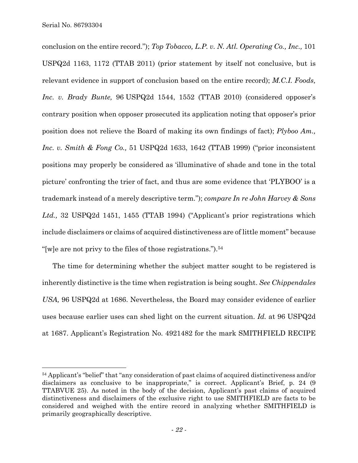conclusion on the entire record."); *Top Tobacco, L.P. v. N. Atl. Operating Co., Inc.,* 101 USPQ2d 1163, 1172 (TTAB 2011) (prior statement by itself not conclusive, but is relevant evidence in support of conclusion based on the entire record); *M.C.I. Foods, Inc. v. Brady Bunte,* 96 USPQ2d 1544, 1552 (TTAB 2010) (considered opposer's contrary position when opposer prosecuted its application noting that opposer's prior position does not relieve the Board of making its own findings of fact); *Plyboo Am., Inc. v. Smith & Fong Co.,* 51 USPQ2d 1633, 1642 (TTAB 1999) ("prior inconsistent positions may properly be considered as 'illuminative of shade and tone in the total picture' confronting the trier of fact, and thus are some evidence that 'PLYBOO' is a trademark instead of a merely descriptive term."); *compare In re John Harvey & Sons Ltd.,* 32 USPQ2d 1451, 1455 (TTAB 1994) ("Applicant's prior registrations which include disclaimers or claims of acquired distinctiveness are of little moment" because "[w]e are not privy to the files of those registrations.").54

The time for determining whether the subject matter sought to be registered is inherently distinctive is the time when registration is being sought. *See Chippendales USA,* 96 USPQ2d at 1686. Nevertheless, the Board may consider evidence of earlier uses because earlier uses can shed light on the current situation. *Id.* at 96 USPQ2d at 1687. Applicant's Registration No. 4921482 for the mark SMITHFIELD RECIPE

<sup>54</sup> Applicant's "belief" that "any consideration of past claims of acquired distinctiveness and/or disclaimers as conclusive to be inappropriate," is correct. Applicant's Brief, p. 24 (9) TTABVUE 25). As noted in the body of the decision, Applicant's past claims of acquired distinctiveness and disclaimers of the exclusive right to use SMITHFIELD are facts to be considered and weighed with the entire record in analyzing whether SMITHFIELD is primarily geographically descriptive.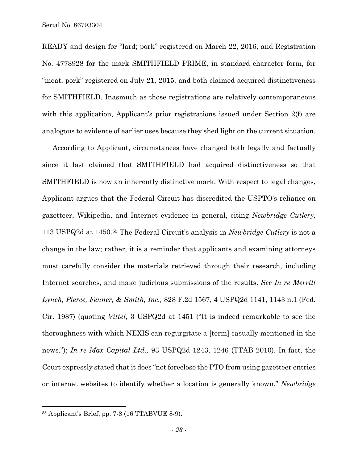READY and design for "lard; pork" registered on March 22, 2016, and Registration No. 4778928 for the mark SMITHFIELD PRIME, in standard character form, for "meat, pork" registered on July 21, 2015, and both claimed acquired distinctiveness for SMITHFIELD. Inasmuch as those registrations are relatively contemporaneous with this application, Applicant's prior registrations issued under Section 2(f) are analogous to evidence of earlier uses because they shed light on the current situation.

According to Applicant, circumstances have changed both legally and factually since it last claimed that SMITHFIELD had acquired distinctiveness so that SMITHFIELD is now an inherently distinctive mark. With respect to legal changes, Applicant argues that the Federal Circuit has discredited the USPTO's reliance on gazetteer, Wikipedia, and Internet evidence in general, citing *Newbridge Cutlery,*  113 USPQ2d at 1450.55 The Federal Circuit's analysis in *Newbridge Cutlery* is not a change in the law; rather, it is a reminder that applicants and examining attorneys must carefully consider the materials retrieved through their research, including Internet searches, and make judicious submissions of the results. *See In re Merrill Lynch, Pierce, Fenner, & Smith, Inc.,* 828 F.2d 1567, 4 USPQ2d 1141, 1143 n.1 (Fed. Cir. 1987) (quoting *Vittel*, 3 USPQ2d at 1451 ("It is indeed remarkable to see the thoroughness with which NEXIS can regurgitate a [term] casually mentioned in the news."); *In re Max Capital Ltd.,* 93 USPQ2d 1243, 1246 (TTAB 2010). In fact, the Court expressly stated that it does "not foreclose the PTO from using gazetteer entries or internet websites to identify whether a location is generally known." *Newbridge* 

1

<sup>55</sup> Applicant's Brief, pp. 7-8 (16 TTABVUE 8-9).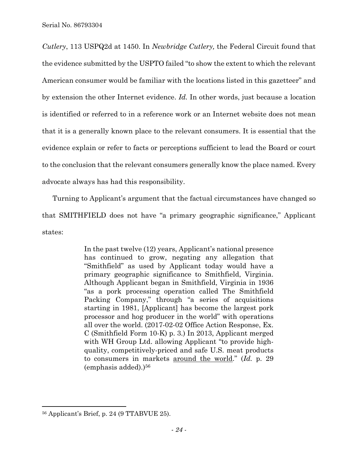*Cutlery*, 113 USPQ2d at 1450. In *Newbridge Cutlery,* the Federal Circuit found that the evidence submitted by the USPTO failed "to show the extent to which the relevant American consumer would be familiar with the locations listed in this gazetteer" and by extension the other Internet evidence. *Id.* In other words, just because a location is identified or referred to in a reference work or an Internet website does not mean that it is a generally known place to the relevant consumers. It is essential that the evidence explain or refer to facts or perceptions sufficient to lead the Board or court to the conclusion that the relevant consumers generally know the place named. Every advocate always has had this responsibility.

Turning to Applicant's argument that the factual circumstances have changed so that SMITHFIELD does not have "a primary geographic significance," Applicant states:

> In the past twelve (12) years, Applicant's national presence has continued to grow, negating any allegation that "Smithfield" as used by Applicant today would have a primary geographic significance to Smithfield, Virginia. Although Applicant began in Smithfield, Virginia in 1936 "as a pork processing operation called The Smithfield Packing Company," through "a series of acquisitions starting in 1981, [Applicant] has become the largest pork processor and hog producer in the world" with operations all over the world. (2017-02-02 Office Action Response, Ex. C (Smithfield Form 10-K) p. 3.) In 2013, Applicant merged with WH Group Ltd. allowing Applicant "to provide highquality, competitively-priced and safe U.S. meat products to consumers in markets around the world." (*Id.* p. 29  $(emphasis added).$ <sup>56</sup>

<sup>56</sup> Applicant's Brief, p. 24 (9 TTABVUE 25).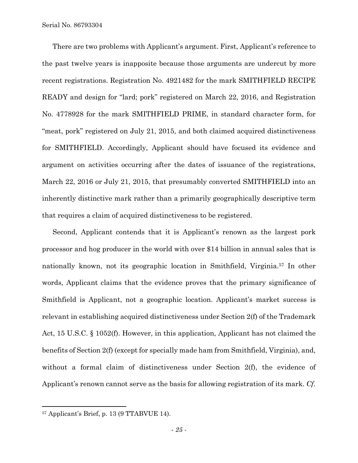There are two problems with Applicant's argument. First, Applicant's reference to the past twelve years is inapposite because those arguments are undercut by more recent registrations. Registration No. 4921482 for the mark SMITHFIELD RECIPE READY and design for "lard; pork" registered on March 22, 2016, and Registration No. 4778928 for the mark SMITHFIELD PRIME, in standard character form, for "meat, pork" registered on July 21, 2015, and both claimed acquired distinctiveness for SMITHFIELD. Accordingly, Applicant should have focused its evidence and argument on activities occurring after the dates of issuance of the registrations, March 22, 2016 or July 21, 2015, that presumably converted SMITHFIELD into an inherently distinctive mark rather than a primarily geographically descriptive term that requires a claim of acquired distinctiveness to be registered.

Second, Applicant contends that it is Applicant's renown as the largest pork processor and hog producer in the world with over \$14 billion in annual sales that is nationally known, not its geographic location in Smithfield, Virginia.57 In other words, Applicant claims that the evidence proves that the primary significance of Smithfield is Applicant, not a geographic location. Applicant's market success is relevant in establishing acquired distinctiveness under Section 2(f) of the Trademark Act, 15 U.S.C. § 1052(f). However, in this application, Applicant has not claimed the benefits of Section 2(f) (except for specially made ham from Smithfield, Virginia), and, without a formal claim of distinctiveness under Section 2(f), the evidence of Applicant's renown cannot serve as the basis for allowing registration of its mark. *Cf.* 

1

<sup>57</sup> Applicant's Brief, p. 13 (9 TTABVUE 14).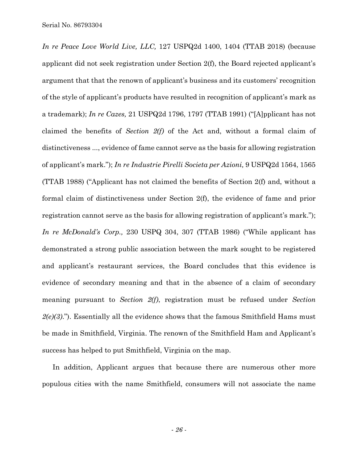*In re Peace Love World Live, LLC,* 127 USPQ2d 1400, 1404 (TTAB 2018) (because applicant did not seek registration under Section 2(f), the Board rejected applicant's argument that that the renown of applicant's business and its customers' recognition of the style of applicant's products have resulted in recognition of applicant's mark as a trademark); *In re Cazes,* 21 USPQ2d 1796, 1797 (TTAB 1991) ("[A]pplicant has not claimed the benefits of *Section 2(f)* of the Act and, without a formal claim of distinctiveness ..., evidence of fame cannot serve as the basis for allowing registration of applicant's mark."); *In re Industrie Pirelli Societa per Azioni,* 9 USPQ2d 1564, 1565 (TTAB 1988) ("Applicant has not claimed the benefits of Section 2(f) and, without a formal claim of distinctiveness under Section 2(f), the evidence of fame and prior registration cannot serve as the basis for allowing registration of applicant's mark."); *In re McDonald's Corp.,* 230 USPQ 304, 307 (TTAB 1986) ("While applicant has demonstrated a strong public association between the mark sought to be registered and applicant's restaurant services, the Board concludes that this evidence is evidence of secondary meaning and that in the absence of a claim of secondary meaning pursuant to *Section 2(f)*, registration must be refused under *Section 2(e)(3)*."). Essentially all the evidence shows that the famous Smithfield Hams must be made in Smithfield, Virginia. The renown of the Smithfield Ham and Applicant's success has helped to put Smithfield, Virginia on the map.

In addition, Applicant argues that because there are numerous other more populous cities with the name Smithfield, consumers will not associate the name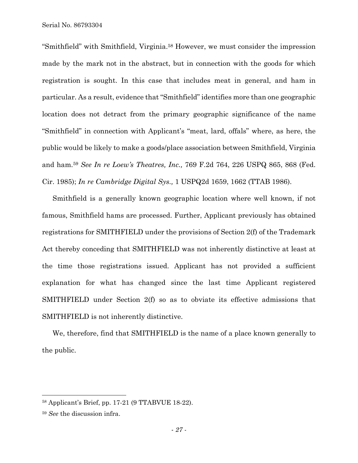"Smithfield" with Smithfield, Virginia.58 However, we must consider the impression made by the mark not in the abstract, but in connection with the goods for which registration is sought. In this case that includes meat in general, and ham in particular. As a result, evidence that "Smithfield" identifies more than one geographic location does not detract from the primary geographic significance of the name "Smithfield" in connection with Applicant's "meat, lard, offals" where, as here, the public would be likely to make a goods/place association between Smithfield, Virginia and ham.59 *See In re Loew's Theatres, Inc.,* 769 F.2d 764, 226 USPQ 865, 868 (Fed. Cir. 1985); *In re Cambridge Digital Sys.,* 1 USPQ2d 1659, 1662 (TTAB 1986).

Smithfield is a generally known geographic location where well known, if not famous, Smithfield hams are processed. Further, Applicant previously has obtained registrations for SMITHFIELD under the provisions of Section 2(f) of the Trademark Act thereby conceding that SMITHFIELD was not inherently distinctive at least at the time those registrations issued. Applicant has not provided a sufficient explanation for what has changed since the last time Applicant registered SMITHFIELD under Section 2(f) so as to obviate its effective admissions that SMITHFIELD is not inherently distinctive.

We, therefore, find that SMITHFIELD is the name of a place known generally to the public.

<sup>58</sup> Applicant's Brief, pp. 17-21 (9 TTABVUE 18-22).

<sup>59</sup> *See* the discussion infra.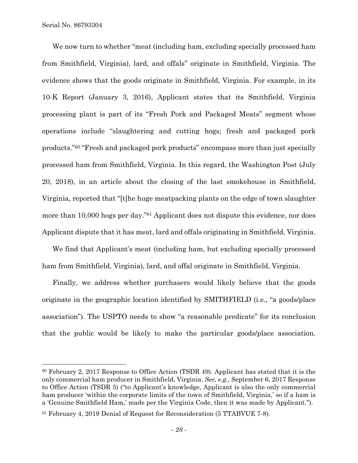$\overline{a}$ 

We now turn to whether "meat (including ham, excluding specially processed ham from Smithfield, Virginia), lard, and offals" originate in Smithfield, Virginia. The evidence shows that the goods originate in Smithfield, Virginia. For example, in its 10-K Report (January 3, 2016), Applicant states that its Smithfield, Virginia processing plant is part of its "Fresh Pork and Packaged Meats" segment whose operations include "slaughtering and cutting hogs; fresh and packaged pork products."60 "Fresh and packaged pork products" encompass more than just specially processed ham from Smithfield, Virginia. In this regard, the Washington Post (July 20, 2018), in an article about the closing of the last smokehouse in Smithfield, Virginia, reported that "[t]he huge meatpacking plants on the edge of town slaughter more than 10,000 hogs per day."61 Applicant does not dispute this evidence, nor does Applicant dispute that it has meat, lard and offals originating in Smithfield, Virginia.

We find that Applicant's meat (including ham, but excluding specially processed ham from Smithfield, Virginia), lard, and offal originate in Smithfield, Virginia.

Finally, we address whether purchasers would likely believe that the goods originate in the geographic location identified by SMITHFIELD (i.e., "a goods/place association"). The USPTO needs to show "a reasonable predicate" for its conclusion that the public would be likely to make the particular goods/place association.

<sup>60</sup> February 2, 2017 Response to Office Action (TSDR 49). Applicant has stated that it is the only commercial ham producer in Smithfield, Virginia. *See, e.g.,* September 6, 2017 Response to Office Action (TSDR 5) ("to Applicant's knowledge, Applicant is also the only commercial ham producer 'within the corporate limits of the town of Smithfield, Virginia,' so if a ham is a 'Genuine Smithfield Ham,' made per the Virginia Code, then it was made by Applicant.").

<sup>61</sup> February 4, 2019 Denial of Request for Reconsideration (5 TTABVUE 7-8).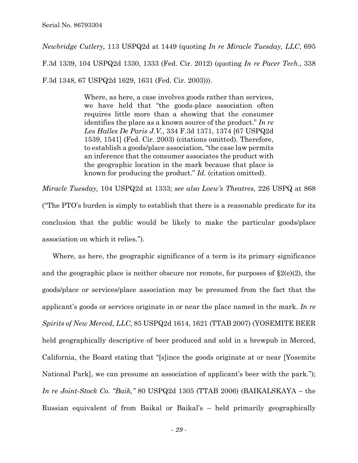*Newbridge Cutlery,* 113 USPQ2d at 1449 (quoting *In re Miracle Tuesday, LLC*, 695 F.3d 1339, 104 USPQ2d 1330, 1333 (Fed. Cir. 2012) (quoting *In re Pacer Tech*., 338 F.3d 1348, 67 USPQ2d 1629, 1631 (Fed. Cir. 2003))).

> Where, as here, a case involves goods rather than services, we have held that "the goods-place association often requires little more than a showing that the consumer identifies the place as a known source of the product." *In re Les Halles De Paris J.V.*, 334 F.3d 1371, 1374 [67 USPQ2d 1539, 1541] (Fed. Cir. 2003) (citations omitted). Therefore, to establish a goods/place association, "the case law permits an inference that the consumer associates the product with the geographic location in the mark because that place is known for producing the product." *Id.* (citation omitted).

*Miracle Tuesday,* 104 USPQ2d at 1333; *see also Loew's Theatres,* 226 USPQ at 868 ("The PTO's burden is simply to establish that there is a reasonable predicate for its conclusion that the public would be likely to make the particular goods/place association on which it relies.").

Where, as here, the geographic significance of a term is its primary significance and the geographic place is neither obscure nor remote, for purposes of  $\S2(e)(2)$ , the goods/place or services/place association may be presumed from the fact that the applicant's goods or services originate in or near the place named in the mark. *In re Spirits of New Merced, LLC*, 85 USPQ2d 1614, 1621 (TTAB 2007) (YOSEMITE BEER held geographically descriptive of beer produced and sold in a brewpub in Merced, California, the Board stating that "[s]ince the goods originate at or near [Yosemite National Park], we can presume an association of applicant's beer with the park."); *In re Joint-Stock Co. "Baik,"* 80 USPQ2d 1305 (TTAB 2006) (BAIKALSKAYA – the Russian equivalent of from Baikal or Baikal's – held primarily geographically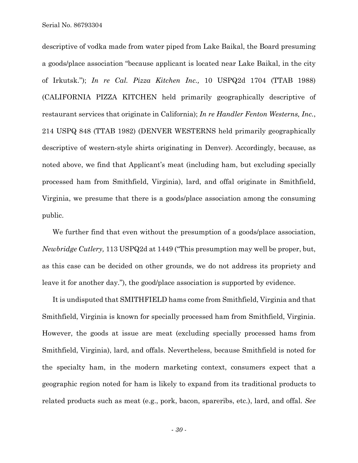descriptive of vodka made from water piped from Lake Baikal, the Board presuming a goods/place association "because applicant is located near Lake Baikal, in the city of Irkutsk."); *In re Cal. Pizza Kitchen Inc.,* 10 USPQ2d 1704 (TTAB 1988) (CALIFORNIA PIZZA KITCHEN held primarily geographically descriptive of restaurant services that originate in California); *In re Handler Fenton Westerns, Inc.*, 214 USPQ 848 (TTAB 1982) (DENVER WESTERNS held primarily geographically descriptive of western-style shirts originating in Denver). Accordingly, because, as noted above, we find that Applicant's meat (including ham, but excluding specially processed ham from Smithfield, Virginia), lard, and offal originate in Smithfield, Virginia, we presume that there is a goods/place association among the consuming public.

We further find that even without the presumption of a goods/place association, *Newbridge Cutlery,* 113 USPQ2d at 1449 ("This presumption may well be proper, but, as this case can be decided on other grounds, we do not address its propriety and leave it for another day."), the good/place association is supported by evidence.

It is undisputed that SMITHFIELD hams come from Smithfield, Virginia and that Smithfield, Virginia is known for specially processed ham from Smithfield, Virginia. However, the goods at issue are meat (excluding specially processed hams from Smithfield, Virginia), lard, and offals. Nevertheless, because Smithfield is noted for the specialty ham, in the modern marketing context, consumers expect that a geographic region noted for ham is likely to expand from its traditional products to related products such as meat (e.g., pork, bacon, spareribs, etc.), lard, and offal. *See*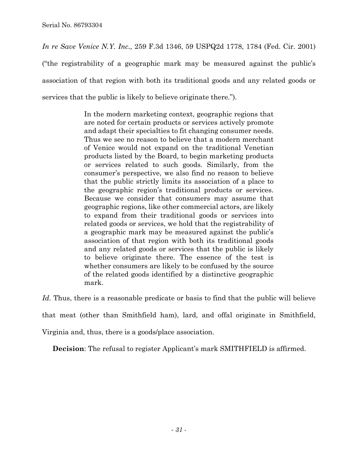*In re Save Venice N.Y. Inc.,* 259 F.3d 1346, 59 USPQ2d 1778, 1784 (Fed. Cir. 2001) ("the registrability of a geographic mark may be measured against the public's association of that region with both its traditional goods and any related goods or services that the public is likely to believe originate there.").

> In the modern marketing context, geographic regions that are noted for certain products or services actively promote and adapt their specialties to fit changing consumer needs. Thus we see no reason to believe that a modern merchant of Venice would not expand on the traditional Venetian products listed by the Board, to begin marketing products or services related to such goods. Similarly, from the consumer's perspective, we also find no reason to believe that the public strictly limits its association of a place to the geographic region's traditional products or services. Because we consider that consumers may assume that geographic regions, like other commercial actors, are likely to expand from their traditional goods or services into related goods or services, we hold that the registrability of a geographic mark may be measured against the public's association of that region with both its traditional goods and any related goods or services that the public is likely to believe originate there. The essence of the test is whether consumers are likely to be confused by the source of the related goods identified by a distinctive geographic mark.

Id. Thus, there is a reasonable predicate or basis to find that the public will believe

that meat (other than Smithfield ham), lard, and offal originate in Smithfield,

Virginia and, thus, there is a goods/place association.

**Decision:** The refusal to register Applicant's mark SMITHFIELD is affirmed.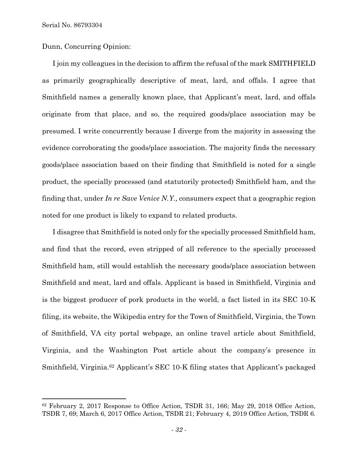Dunn, Concurring Opinion:

I join my colleagues in the decision to affirm the refusal of the mark SMITHFIELD as primarily geographically descriptive of meat, lard, and offals. I agree that Smithfield names a generally known place, that Applicant's meat, lard, and offals originate from that place, and so, the required goods/place association may be presumed. I write concurrently because I diverge from the majority in assessing the evidence corroborating the goods/place association. The majority finds the necessary goods/place association based on their finding that Smithfield is noted for a single product, the specially processed (and statutorily protected) Smithfield ham, and the finding that, under *In re Save Venice N.Y.,* consumers expect that a geographic region noted for one product is likely to expand to related products.

I disagree that Smithfield is noted only for the specially processed Smithfield ham, and find that the record, even stripped of all reference to the specially processed Smithfield ham, still would establish the necessary goods/place association between Smithfield and meat, lard and offals. Applicant is based in Smithfield, Virginia and is the biggest producer of pork products in the world, a fact listed in its SEC 10-K filing, its website, the Wikipedia entry for the Town of Smithfield, Virginia, the Town of Smithfield, VA city portal webpage, an online travel article about Smithfield, Virginia, and the Washington Post article about the company's presence in Smithfield, Virginia.62 Applicant's SEC 10-K filing states that Applicant's packaged

<sup>62</sup> February 2, 2017 Response to Office Action, TSDR 31, 166; May 29, 2018 Office Action, TSDR 7, 69; March 6, 2017 Office Action, TSDR 21; February 4, 2019 Office Action, TSDR 6.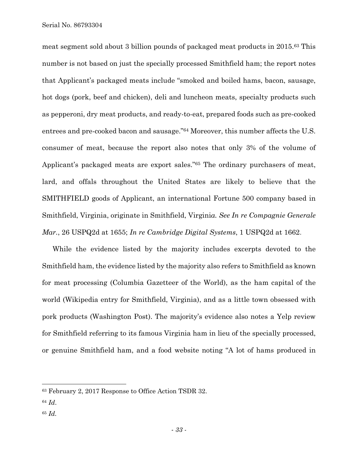meat segment sold about 3 billion pounds of packaged meat products in 2015.63 This number is not based on just the specially processed Smithfield ham; the report notes that Applicant's packaged meats include "smoked and boiled hams, bacon, sausage, hot dogs (pork, beef and chicken), deli and luncheon meats, specialty products such as pepperoni, dry meat products, and ready-to-eat, prepared foods such as pre-cooked entrees and pre-cooked bacon and sausage."64 Moreover, this number affects the U.S. consumer of meat, because the report also notes that only 3% of the volume of Applicant's packaged meats are export sales."65 The ordinary purchasers of meat, lard, and offals throughout the United States are likely to believe that the SMITHFIELD goods of Applicant, an international Fortune 500 company based in Smithfield, Virginia, originate in Smithfield, Virgini*a. See In re Compagnie Generale Mar.*, 26 USPQ2d at 1655; *In re Cambridge Digital Systems*, 1 USPQ2d at 1662.

While the evidence listed by the majority includes excerpts devoted to the Smithfield ham, the evidence listed by the majority also refers to Smithfield as known for meat processing (Columbia Gazetteer of the World), as the ham capital of the world (Wikipedia entry for Smithfield, Virginia), and as a little town obsessed with pork products (Washington Post). The majority's evidence also notes a Yelp review for Smithfield referring to its famous Virginia ham in lieu of the specially processed, or genuine Smithfield ham, and a food website noting "A lot of hams produced in

<sup>64</sup> *Id*.

l

<sup>63</sup> February 2, 2017 Response to Office Action TSDR 32.

<sup>65</sup> *Id.*